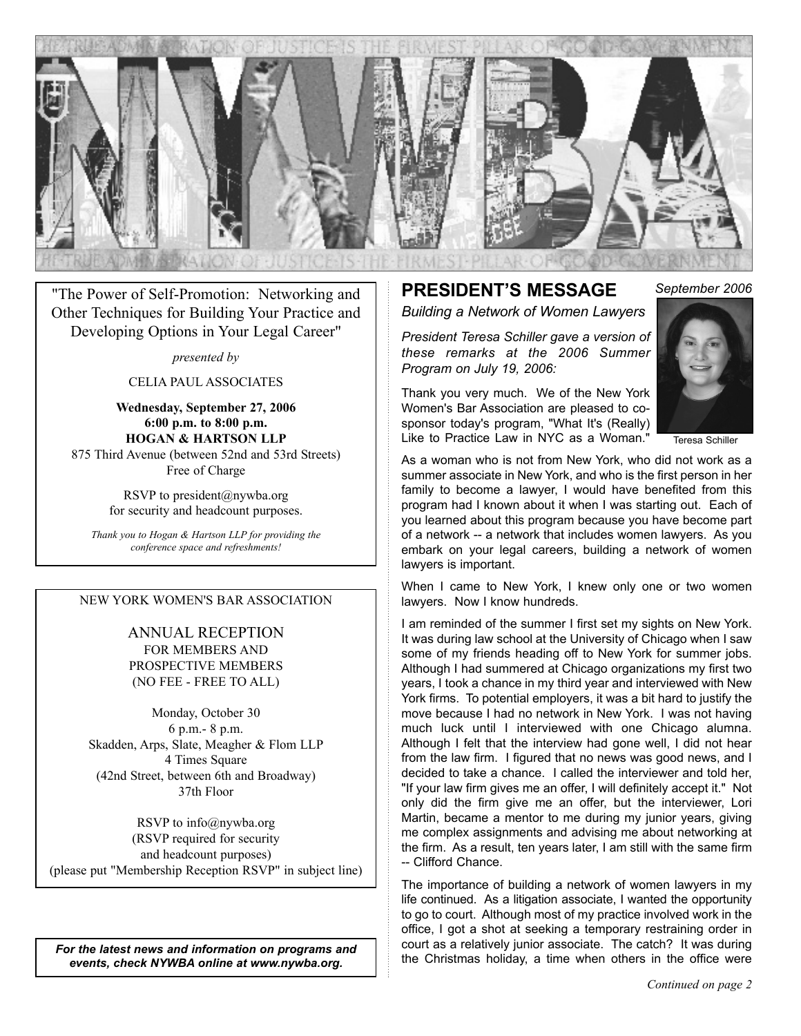

*September 2006* "The Power of Self-Promotion: Networking and Other Techniques for Building Your Practice and Developing Options in Your Legal Career"

*presented by*

CELIA PAUL ASSOCIATES

**Wednesday, September 27, 2006 6:00 p.m. to 8:00 p.m. HOGAN & HARTSON LLP** 875 Third Avenue (between 52nd and 53rd Streets) Free of Charge

> RSVP to president@nywba.org for security and headcount purposes.

*Thank you to Hogan & Hartson LLP for providing the conference space and refreshments!*

#### NEW YORK WOMEN'S BAR ASSOCIATION

ANNUAL RECEPTION FOR MEMBERS AND PROSPECTIVE MEMBERS (NO FEE - FREE TO ALL)

Monday, October 30 6 p.m.- 8 p.m. Skadden, Arps, Slate, Meagher & Flom LLP 4 Times Square (42nd Street, between 6th and Broadway) 37th Floor

RSVP to info@nywba.org (RSVP required for security and headcount purposes) (please put "Membership Reception RSVP" in subject line)

*For the latest news and information on programs and events, check NYWBA online at www.nywba.org.*

#### **PRESIDENT'S MESSAGE** *Building a Network of Women Lawyers*

*Program on July 19, 2006:*

*President Teresa Schiller gave a version of these remarks at the 2006 Summer* 

Thank you very much. We of the New York Women's Bar Association are pleased to cosponsor today's program, "What It's (Really) Like to Practice Law in NYC as a Woman."



Teresa Schiller

As a woman who is not from New York, who did not work as a summer associate in New York, and who is the first person in her family to become a lawyer, I would have benefited from this program had I known about it when I was starting out. Each of you learned about this program because you have become part of a network -- a network that includes women lawyers. As you embark on your legal careers, building a network of women lawyers is important.

When I came to New York, I knew only one or two women lawyers. Now I know hundreds.

I am reminded of the summer I first set my sights on New York. It was during law school at the University of Chicago when I saw some of my friends heading off to New York for summer jobs. Although I had summered at Chicago organizations my first two years, I took a chance in my third year and interviewed with New York firms. To potential employers, it was a bit hard to justify the move because I had no network in New York. I was not having much luck until I interviewed with one Chicago alumna. Although I felt that the interview had gone well, I did not hear from the law firm. I figured that no news was good news, and I decided to take a chance. I called the interviewer and told her, "If your law firm gives me an offer, I will definitely accept it." Not only did the firm give me an offer, but the interviewer, Lori Martin, became a mentor to me during my junior years, giving me complex assignments and advising me about networking at the firm. As a result, ten years later, I am still with the same firm -- Clifford Chance.

The importance of building a network of women lawyers in my life continued. As a litigation associate, I wanted the opportunity to go to court. Although most of my practice involved work in the office, I got a shot at seeking a temporary restraining order in court as a relatively junior associate. The catch? It was during the Christmas holiday, a time when others in the office were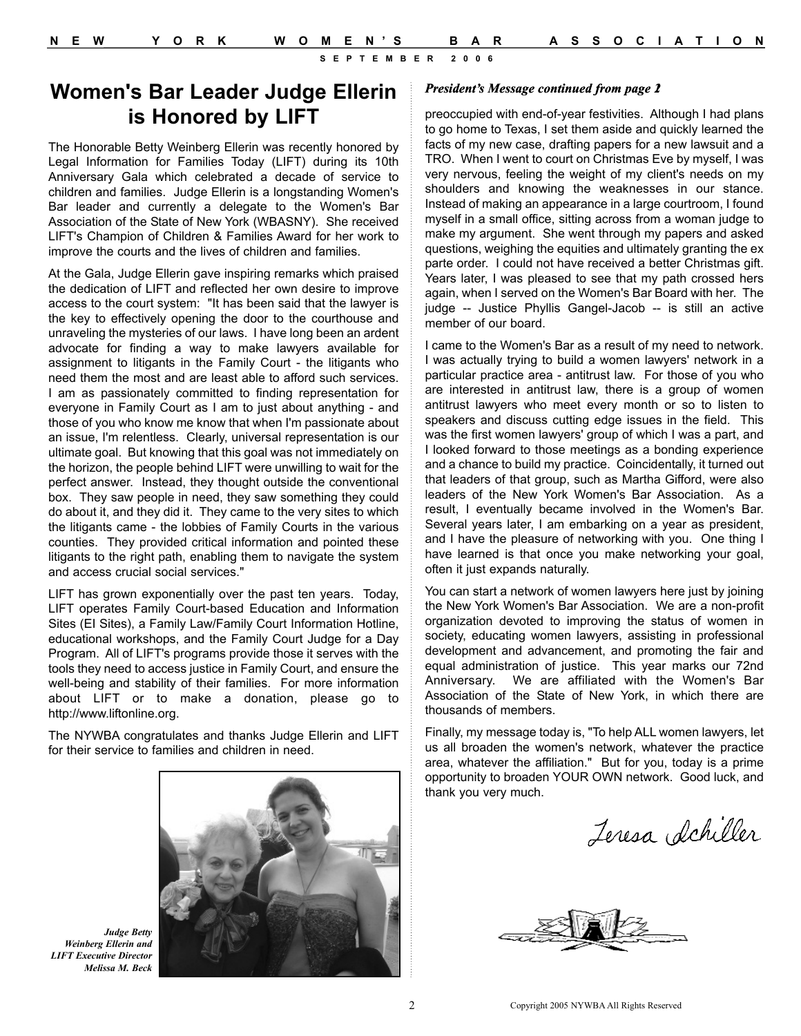## **Women's Bar Leader Judge Ellerin** *<sup>2</sup>***is Honored by LIFT**

The Honorable Betty Weinberg Ellerin was recently honored by Legal Information for Families Today (LIFT) during its 10th Anniversary Gala which celebrated a decade of service to children and families. Judge Ellerin is a longstanding Women's Bar leader and currently a delegate to the Women's Bar Association of the State of New York (WBASNY). She received LIFT's Champion of Children & Families Award for her work to improve the courts and the lives of children and families.

At the Gala, Judge Ellerin gave inspiring remarks which praised the dedication of LIFT and reflected her own desire to improve access to the court system: "It has been said that the lawyer is the key to effectively opening the door to the courthouse and unraveling the mysteries of our laws. I have long been an ardent advocate for finding a way to make lawyers available for assignment to litigants in the Family Court - the litigants who need them the most and are least able to afford such services. I am as passionately committed to finding representation for everyone in Family Court as I am to just about anything - and those of you who know me know that when I'm passionate about an issue, I'm relentless. Clearly, universal representation is our ultimate goal. But knowing that this goal was not immediately on the horizon, the people behind LIFT were unwilling to wait for the perfect answer. Instead, they thought outside the conventional box. They saw people in need, they saw something they could do about it, and they did it. They came to the very sites to which the litigants came - the lobbies of Family Courts in the various counties. They provided critical information and pointed these litigants to the right path, enabling them to navigate the system and access crucial social services."

LIFT has grown exponentially over the past ten years. Today, LIFT operates Family Court-based Education and Information Sites (EI Sites), a Family Law/Family Court Information Hotline, educational workshops, and the Family Court Judge for a Day Program. All of LIFT's programs provide those it serves with the tools they need to access justice in Family Court, and ensure the well-being and stability of their families. For more information about LIFT or to make a donation, please go to http://www.liftonline.org.

The NYWBA congratulates and thanks Judge Ellerin and LIFT for their service to families and children in need.



*Judge Betty Weinberg Ellerin and LIFT Executive Director Melissa M. Beck*

#### *President's Message continued from page 1*

preoccupied with end-of-year festivities. Although I had plans to go home to Texas, I set them aside and quickly learned the facts of my new case, drafting papers for a new lawsuit and a TRO. When I went to court on Christmas Eve by myself, I was very nervous, feeling the weight of my client's needs on my shoulders and knowing the weaknesses in our stance. Instead of making an appearance in a large courtroom, I found myself in a small office, sitting across from a woman judge to make my argument. She went through my papers and asked questions, weighing the equities and ultimately granting the ex parte order. I could not have received a better Christmas gift. Years later, I was pleased to see that my path crossed hers again, when I served on the Women's Bar Board with her. The judge -- Justice Phyllis Gangel-Jacob -- is still an active member of our board.

I came to the Women's Bar as a result of my need to network. I was actually trying to build a women lawyers' network in a particular practice area - antitrust law. For those of you who are interested in antitrust law, there is a group of women antitrust lawyers who meet every month or so to listen to speakers and discuss cutting edge issues in the field. This was the first women lawyers' group of which I was a part, and I looked forward to those meetings as a bonding experience and a chance to build my practice. Coincidentally, it turned out that leaders of that group, such as Martha Gifford, were also leaders of the New York Women's Bar Association. As a result, I eventually became involved in the Women's Bar. Several years later, I am embarking on a year as president, and I have the pleasure of networking with you. One thing I have learned is that once you make networking your goal, often it just expands naturally.

You can start a network of women lawyers here just by joining the New York Women's Bar Association. We are a non-profit organization devoted to improving the status of women in society, educating women lawyers, assisting in professional development and advancement, and promoting the fair and equal administration of justice. This year marks our 72nd Anniversary. We are affiliated with the Women's Bar Association of the State of New York, in which there are thousands of members.

Finally, my message today is, "To help ALL women lawyers, let us all broaden the women's network, whatever the practice area, whatever the affiliation." But for you, today is a prime opportunity to broaden YOUR OWN network. Good luck, and thank you very much.

Jeresa Schiller

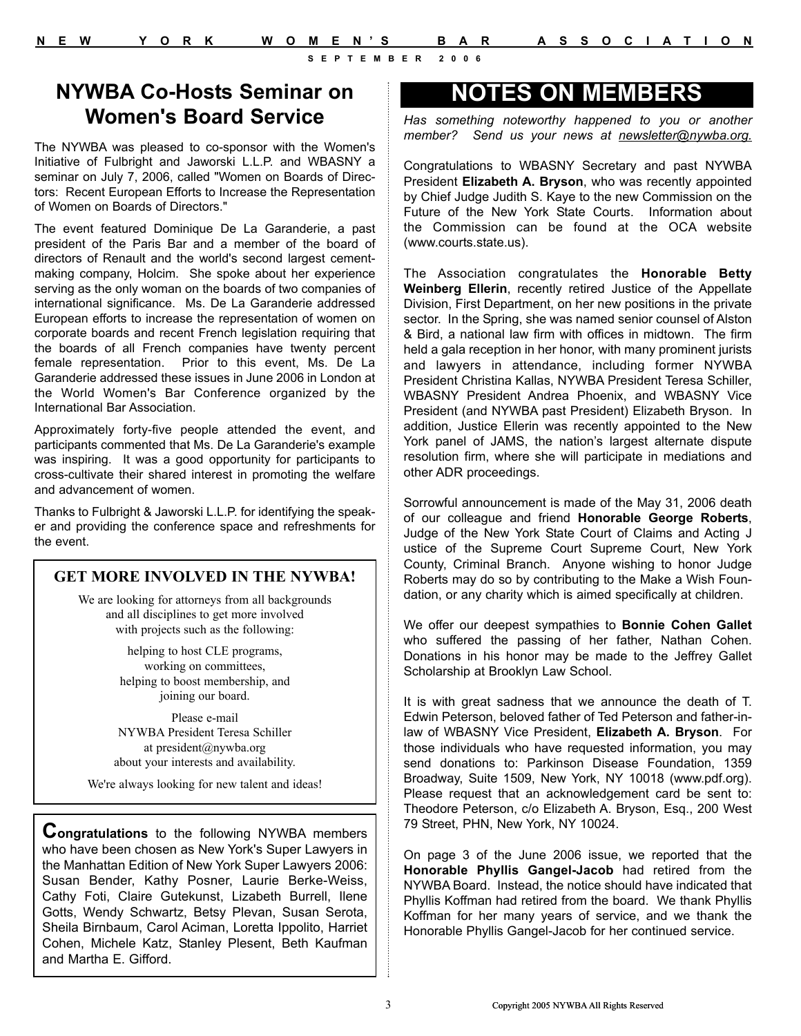## **NYWBA Co-Hosts Seminar on Women's Board Service**

The NYWBA was pleased to co-sponsor with the Women's Initiative of Fulbright and Jaworski L.L.P. and WBASNY a seminar on July 7, 2006, called "Women on Boards of Directors: Recent European Efforts to Increase the Representation of Women on Boards of Directors."

The event featured Dominique De La Garanderie, a past president of the Paris Bar and a member of the board of directors of Renault and the world's second largest cementmaking company, Holcim. She spoke about her experience serving as the only woman on the boards of two companies of international significance. Ms. De La Garanderie addressed European efforts to increase the representation of women on corporate boards and recent French legislation requiring that the boards of all French companies have twenty percent female representation. Prior to this event, Ms. De La Garanderie addressed these issues in June 2006 in London at the World Women's Bar Conference organized by the International Bar Association.

Approximately forty-five people attended the event, and participants commented that Ms. De La Garanderie's example was inspiring. It was a good opportunity for participants to cross-cultivate their shared interest in promoting the welfare and advancement of women.

Thanks to Fulbright & Jaworski L.L.P. for identifying the speaker and providing the conference space and refreshments for the event.

#### **GET MORE INVOLVED IN THE NYWBA!**

We are looking for attorneys from all backgrounds and all disciplines to get more involved with projects such as the following:

> helping to host CLE programs, working on committees, helping to boost membership, and joining our board.

Please e-mail NYWBA President Teresa Schiller at president@nywba.org about your interests and availability.

We're always looking for new talent and ideas!

**Congratulations** to the following NYWBA members who have been chosen as New York's Super Lawyers in the Manhattan Edition of New York Super Lawyers 2006: Susan Bender, Kathy Posner, Laurie Berke-Weiss, Cathy Foti, Claire Gutekunst, Lizabeth Burrell, Ilene Gotts, Wendy Schwartz, Betsy Plevan, Susan Serota, Sheila Birnbaum, Carol Aciman, Loretta Ippolito, Harriet Cohen, Michele Katz, Stanley Plesent, Beth Kaufman and Martha E. Gifford.

## **NOTES ON MEMBERS**

*Has something noteworthy happened to you or another member? Send us your news at newsletter@nywba.org.*

Congratulations to WBASNY Secretary and past NYWBA President **Elizabeth A. Bryson**, who was recently appointed by Chief Judge Judith S. Kaye to the new Commission on the Future of the New York State Courts. Information about the Commission can be found at the OCA website (www.courts.state.us).

The Association congratulates the **Honorable Betty Weinberg Ellerin**, recently retired Justice of the Appellate Division, First Department, on her new positions in the private sector. In the Spring, she was named senior counsel of Alston & Bird, a national law firm with offices in midtown. The firm held a gala reception in her honor, with many prominent jurists and lawyers in attendance, including former NYWBA President Christina Kallas, NYWBA President Teresa Schiller, WBASNY President Andrea Phoenix, and WBASNY Vice President (and NYWBA past President) Elizabeth Bryson. In addition, Justice Ellerin was recently appointed to the New York panel of JAMS, the nation's largest alternate dispute resolution firm, where she will participate in mediations and other ADR proceedings.

Sorrowful announcement is made of the May 31, 2006 death of our colleague and friend **Honorable George Roberts**, Judge of the New York State Court of Claims and Acting J ustice of the Supreme Court Supreme Court, New York County, Criminal Branch. Anyone wishing to honor Judge Roberts may do so by contributing to the Make a Wish Foundation, or any charity which is aimed specifically at children.

We offer our deepest sympathies to **Bonnie Cohen Gallet** who suffered the passing of her father, Nathan Cohen. Donations in his honor may be made to the Jeffrey Gallet Scholarship at Brooklyn Law School.

It is with great sadness that we announce the death of T. Edwin Peterson, beloved father of Ted Peterson and father-inlaw of WBASNY Vice President, **Elizabeth A. Bryson**. For those individuals who have requested information, you may send donations to: Parkinson Disease Foundation, 1359 Broadway, Suite 1509, New York, NY 10018 (www.pdf.org). Please request that an acknowledgement card be sent to: Theodore Peterson, c/o Elizabeth A. Bryson, Esq., 200 West 79 Street, PHN, New York, NY 10024.

On page 3 of the June 2006 issue, we reported that the **Honorable Phyllis Gangel-Jacob** had retired from the NYWBA Board. Instead, the notice should have indicated that Phyllis Koffman had retired from the board. We thank Phyllis Koffman for her many years of service, and we thank the Honorable Phyllis Gangel-Jacob for her continued service.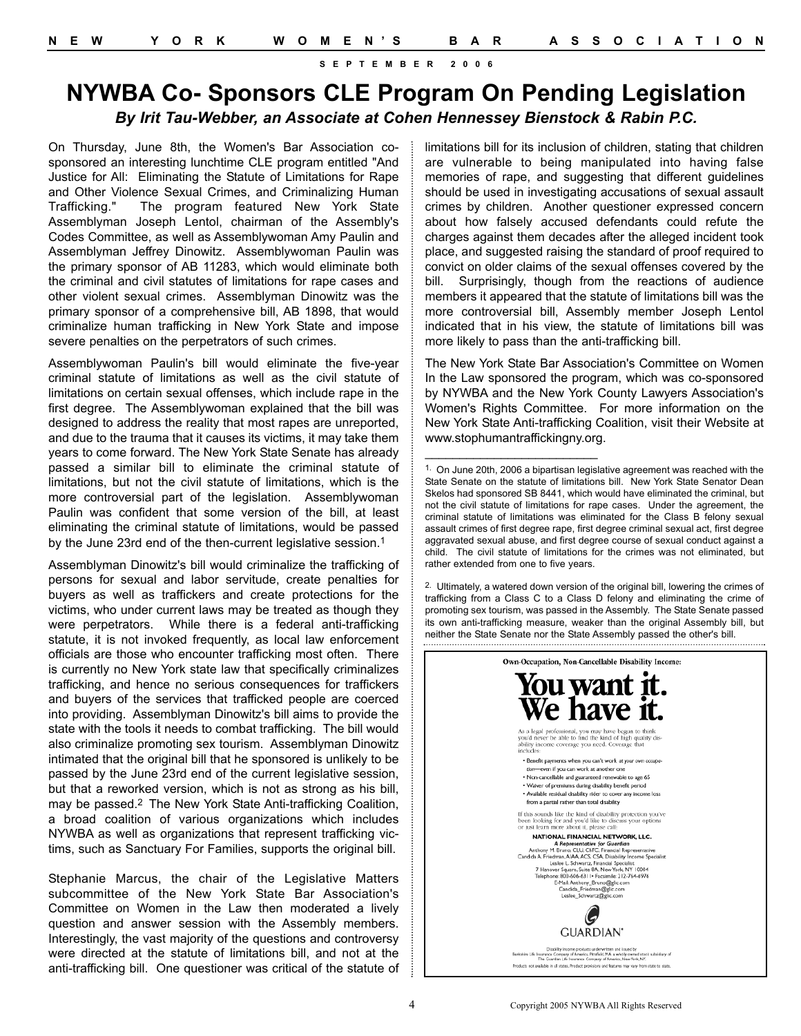### **NYWBA Co- Sponsors CLE Program On Pending Legislation** *By Irit Tau-Webber, an Associate at Cohen Hennessey Bienstock & Rabin P.C.*

On Thursday, June 8th, the Women's Bar Association cosponsored an interesting lunchtime CLE program entitled "And Justice for All: Eliminating the Statute of Limitations for Rape and Other Violence Sexual Crimes, and Criminalizing Human Trafficking." The program featured New York State Assemblyman Joseph Lentol, chairman of the Assembly's Codes Committee, as well as Assemblywoman Amy Paulin and Assemblyman Jeffrey Dinowitz. Assemblywoman Paulin was the primary sponsor of AB 11283, which would eliminate both the criminal and civil statutes of limitations for rape cases and other violent sexual crimes. Assemblyman Dinowitz was the primary sponsor of a comprehensive bill, AB 1898, that would criminalize human trafficking in New York State and impose severe penalties on the perpetrators of such crimes.

Assemblywoman Paulin's bill would eliminate the five-year criminal statute of limitations as well as the civil statute of limitations on certain sexual offenses, which include rape in the first degree. The Assemblywoman explained that the bill was designed to address the reality that most rapes are unreported, and due to the trauma that it causes its victims, it may take them years to come forward. The New York State Senate has already passed a similar bill to eliminate the criminal statute of limitations, but not the civil statute of limitations, which is the more controversial part of the legislation. Assemblywoman Paulin was confident that some version of the bill, at least eliminating the criminal statute of limitations, would be passed by the June 23rd end of the then-current legislative session.<sup>1</sup>

Assemblyman Dinowitz's bill would criminalize the trafficking of persons for sexual and labor servitude, create penalties for buyers as well as traffickers and create protections for the victims, who under current laws may be treated as though they were perpetrators. While there is a federal anti-trafficking statute, it is not invoked frequently, as local law enforcement officials are those who encounter trafficking most often. There is currently no New York state law that specifically criminalizes trafficking, and hence no serious consequences for traffickers and buyers of the services that trafficked people are coerced into providing. Assemblyman Dinowitz's bill aims to provide the state with the tools it needs to combat trafficking. The bill would also criminalize promoting sex tourism. Assemblyman Dinowitz intimated that the original bill that he sponsored is unlikely to be passed by the June 23rd end of the current legislative session, but that a reworked version, which is not as strong as his bill, may be passed.2 The New York State Anti-trafficking Coalition, a broad coalition of various organizations which includes NYWBA as well as organizations that represent trafficking victims, such as Sanctuary For Families, supports the original bill.

Stephanie Marcus, the chair of the Legislative Matters subcommittee of the New York State Bar Association's Committee on Women in the Law then moderated a lively question and answer session with the Assembly members. Interestingly, the vast majority of the questions and controversy were directed at the statute of limitations bill, and not at the anti-trafficking bill. One questioner was critical of the statute of limitations bill for its inclusion of children, stating that children are vulnerable to being manipulated into having false memories of rape, and suggesting that different guidelines should be used in investigating accusations of sexual assault crimes by children. Another questioner expressed concern about how falsely accused defendants could refute the charges against them decades after the alleged incident took place, and suggested raising the standard of proof required to convict on older claims of the sexual offenses covered by the bill. Surprisingly, though from the reactions of audience members it appeared that the statute of limitations bill was the more controversial bill, Assembly member Joseph Lentol indicated that in his view, the statute of limitations bill was more likely to pass than the anti-trafficking bill.

The New York State Bar Association's Committee on Women In the Law sponsored the program, which was co-sponsored by NYWBA and the New York County Lawyers Association's Women's Rights Committee. For more information on the New York State Anti-trafficking Coalition, visit their Website at www.stophumantraffickingny.org.

 $\overline{\phantom{a}}$  , where  $\overline{\phantom{a}}$  , where  $\overline{\phantom{a}}$  , where  $\overline{\phantom{a}}$ 

<sup>2.</sup> Ultimately, a watered down version of the original bill, lowering the crimes of trafficking from a Class C to a Class D felony and eliminating the crime of promoting sex tourism, was passed in the Assembly. The State Senate passed its own anti-trafficking measure, weaker than the original Assembly bill, but neither the State Senate nor the State Assembly passed the other's bill.



<sup>1.</sup> On June 20th, 2006 a bipartisan legislative agreement was reached with the State Senate on the statute of limitations bill. New York State Senator Dean Skelos had sponsored SB 8441, which would have eliminated the criminal, but not the civil statute of limitations for rape cases. Under the agreement, the criminal statute of limitations was eliminated for the Class B felony sexual assault crimes of first degree rape, first degree criminal sexual act, first degree aggravated sexual abuse, and first degree course of sexual conduct against a child. The civil statute of limitations for the crimes was not eliminated, but rather extended from one to five years.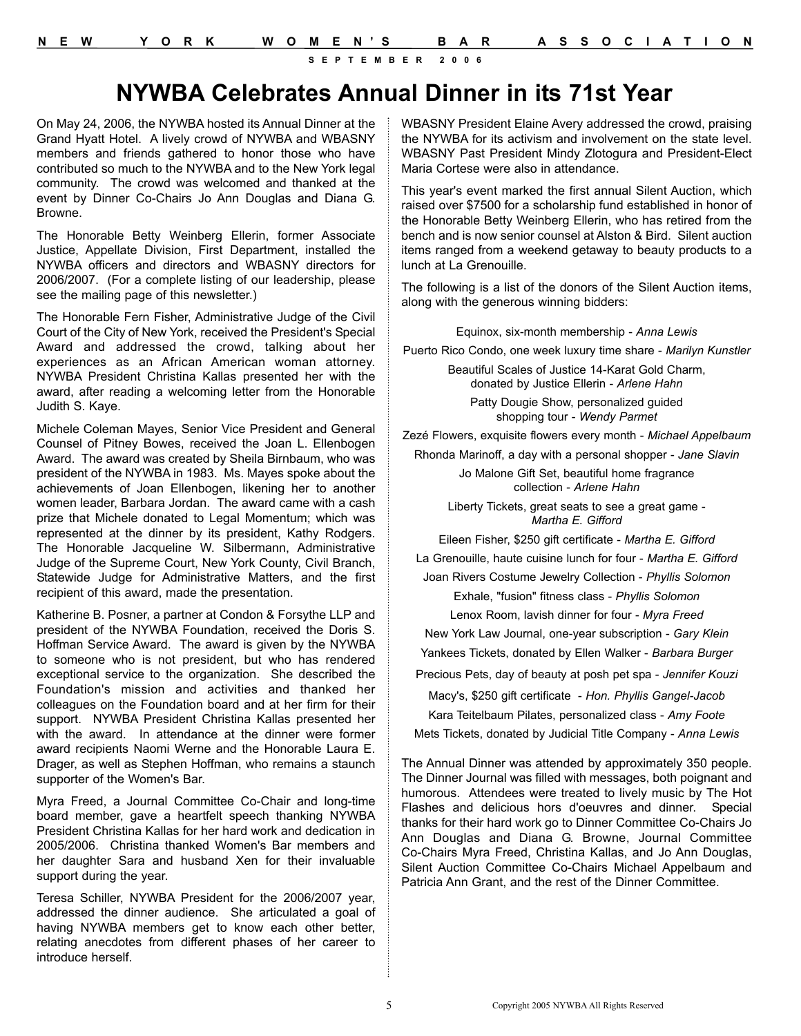# **NYWBA Celebrates Annual Dinner in its 71st Year**

On May 24, 2006, the NYWBA hosted its Annual Dinner at the Grand Hyatt Hotel. A lively crowd of NYWBA and WBASNY members and friends gathered to honor those who have contributed so much to the NYWBA and to the New York legal community. The crowd was welcomed and thanked at the event by Dinner Co-Chairs Jo Ann Douglas and Diana G. Browne.

The Honorable Betty Weinberg Ellerin, former Associate Justice, Appellate Division, First Department, installed the NYWBA officers and directors and WBASNY directors for 2006/2007. (For a complete listing of our leadership, please see the mailing page of this newsletter.)

The Honorable Fern Fisher, Administrative Judge of the Civil Court of the City of New York, received the President's Special Award and addressed the crowd, talking about her experiences as an African American woman attorney. NYWBA President Christina Kallas presented her with the award, after reading a welcoming letter from the Honorable Judith S. Kaye.

Michele Coleman Mayes, Senior Vice President and General Counsel of Pitney Bowes, received the Joan L. Ellenbogen Award. The award was created by Sheila Birnbaum, who was president of the NYWBA in 1983. Ms. Mayes spoke about the achievements of Joan Ellenbogen, likening her to another women leader, Barbara Jordan. The award came with a cash prize that Michele donated to Legal Momentum; which was represented at the dinner by its president, Kathy Rodgers. The Honorable Jacqueline W. Silbermann, Administrative Judge of the Supreme Court, New York County, Civil Branch, Statewide Judge for Administrative Matters, and the first recipient of this award, made the presentation.

Katherine B. Posner, a partner at Condon & Forsythe LLP and president of the NYWBA Foundation, received the Doris S. Hoffman Service Award. The award is given by the NYWBA to someone who is not president, but who has rendered exceptional service to the organization. She described the Foundation's mission and activities and thanked her colleagues on the Foundation board and at her firm for their support. NYWBA President Christina Kallas presented her with the award. In attendance at the dinner were former award recipients Naomi Werne and the Honorable Laura E. Drager, as well as Stephen Hoffman, who remains a staunch supporter of the Women's Bar.

Myra Freed, a Journal Committee Co-Chair and long-time board member, gave a heartfelt speech thanking NYWBA President Christina Kallas for her hard work and dedication in 2005/2006. Christina thanked Women's Bar members and her daughter Sara and husband Xen for their invaluable support during the year.

Teresa Schiller, NYWBA President for the 2006/2007 year, addressed the dinner audience. She articulated a goal of having NYWBA members get to know each other better, relating anecdotes from different phases of her career to introduce herself.

WBASNY President Elaine Avery addressed the crowd, praising the NYWBA for its activism and involvement on the state level. WBASNY Past President Mindy Zlotogura and President-Elect Maria Cortese were also in attendance.

This year's event marked the first annual Silent Auction, which raised over \$7500 for a scholarship fund established in honor of the Honorable Betty Weinberg Ellerin, who has retired from the bench and is now senior counsel at Alston & Bird. Silent auction items ranged from a weekend getaway to beauty products to a lunch at La Grenouille.

The following is a list of the donors of the Silent Auction items, along with the generous winning bidders:

Equinox, six-month membership - *Anna Lewis*

Puerto Rico Condo, one week luxury time share - *Marilyn Kunstler*

Beautiful Scales of Justice 14-Karat Gold Charm, donated by Justice Ellerin - *Arlene Hahn*

Patty Dougie Show, personalized guided shopping tour - *Wendy Parmet*

Zezé Flowers, exquisite flowers every month - *Michael Appelbaum*

Rhonda Marinoff, a day with a personal shopper - *Jane Slavin*

Jo Malone Gift Set, beautiful home fragrance collection - *Arlene Hahn*

Liberty Tickets, great seats to see a great game - *Martha E. Gifford*

Eileen Fisher, \$250 gift certificate - *Martha E. Gifford*

La Grenouille, haute cuisine lunch for four - *Martha E. Gifford*

Joan Rivers Costume Jewelry Collection - *Phyllis Solomon*

Exhale, "fusion" fitness class - *Phyllis Solomon*

Lenox Room, lavish dinner for four - *Myra Freed*

New York Law Journal, one-year subscription - *Gary Klein*

Yankees Tickets, donated by Ellen Walker - *Barbara Burger*

Precious Pets, day of beauty at posh pet spa - *Jennifer Kouzi*

Macy's, \$250 gift certificate - *Hon. Phyllis Gangel-Jacob* Kara Teitelbaum Pilates, personalized class - *Amy Foote* Mets Tickets, donated by Judicial Title Company - *Anna Lewis*

The Annual Dinner was attended by approximately 350 people. The Dinner Journal was filled with messages, both poignant and humorous. Attendees were treated to lively music by The Hot Flashes and delicious hors d'oeuvres and dinner. Special thanks for their hard work go to Dinner Committee Co-Chairs Jo Ann Douglas and Diana G. Browne, Journal Committee

Co-Chairs Myra Freed, Christina Kallas, and Jo Ann Douglas, Silent Auction Committee Co-Chairs Michael Appelbaum and Patricia Ann Grant, and the rest of the Dinner Committee.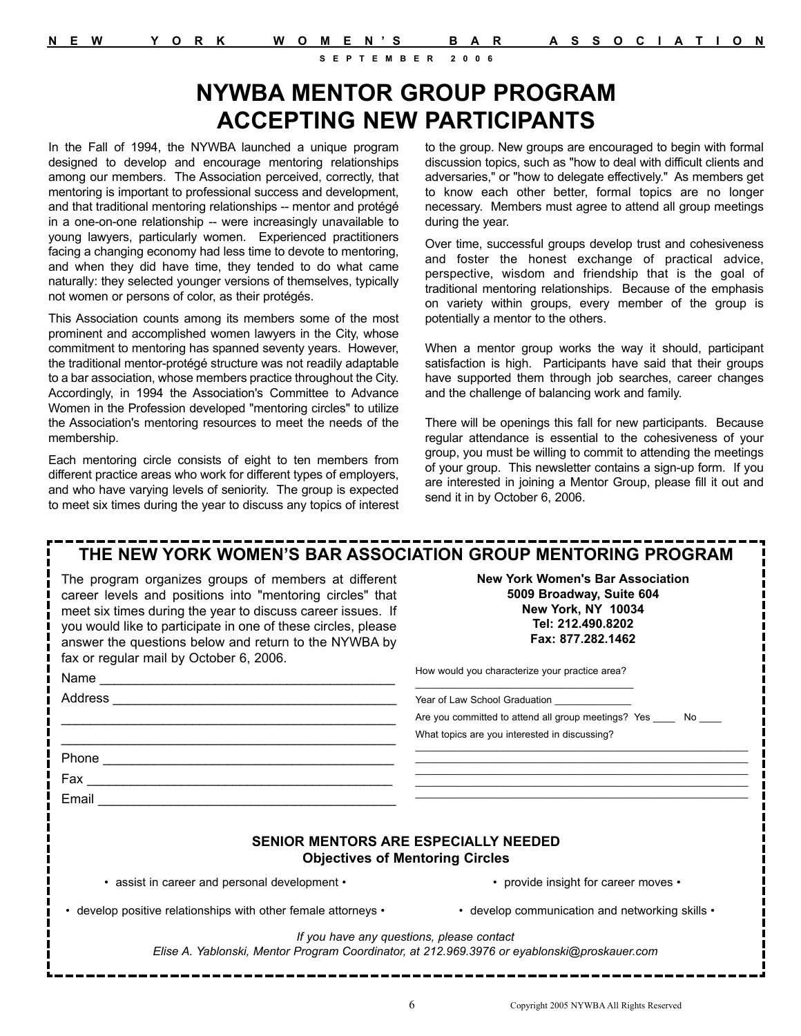# **NYWBA MENTOR GROUP PROGRAM ACCEPTING NEW PARTICIPANTS**

In the Fall of 1994, the NYWBA launched a unique program designed to develop and encourage mentoring relationships among our members. The Association perceived, correctly, that mentoring is important to professional success and development, and that traditional mentoring relationships -- mentor and protégé in a one-on-one relationship -- were increasingly unavailable to young lawyers, particularly women. Experienced practitioners facing a changing economy had less time to devote to mentoring, and when they did have time, they tended to do what came naturally: they selected younger versions of themselves, typically not women or persons of color, as their protégés.

This Association counts among its members some of the most prominent and accomplished women lawyers in the City, whose commitment to mentoring has spanned seventy years. However, the traditional mentor-protégé structure was not readily adaptable to a bar association, whose members practice throughout the City. Accordingly, in 1994 the Association's Committee to Advance Women in the Profession developed "mentoring circles" to utilize the Association's mentoring resources to meet the needs of the membership.

Each mentoring circle consists of eight to ten members from different practice areas who work for different types of employers, and who have varying levels of seniority. The group is expected to meet six times during the year to discuss any topics of interest to the group. New groups are encouraged to begin with formal discussion topics, such as "how to deal with difficult clients and adversaries," or "how to delegate effectively." As members get to know each other better, formal topics are no longer necessary. Members must agree to attend all group meetings during the year.

Over time, successful groups develop trust and cohesiveness and foster the honest exchange of practical advice, perspective, wisdom and friendship that is the goal of traditional mentoring relationships. Because of the emphasis on variety within groups, every member of the group is potentially a mentor to the others.

When a mentor group works the way it should, participant satisfaction is high. Participants have said that their groups have supported them through job searches, career changes and the challenge of balancing work and family.

There will be openings this fall for new participants. Because regular attendance is essential to the cohesiveness of your group, you must be willing to commit to attending the meetings of your group. This newsletter contains a sign-up form. If you are interested in joining a Mentor Group, please fill it out and send it in by October 6, 2006.

## **THE NEW YORK WOMEN'S BAR ASSOCIATION GROUP MENTORING PROGRAM**

The program organizes groups of members at different career levels and positions into "mentoring circles" that meet six times during the year to discuss career issues. If you would like to participate in one of these circles, please answer the questions below and return to the NYWBA by fax or regular mail by October 6, 2006.

Address **and a set of the set of the set of the set of the set of the set of the set of the set of the set of the set of the set of the set of the set of the set of the set of the set of the set of the set of the set of th**  $\mathcal{L}_\text{max}$  and  $\mathcal{L}_\text{max}$  and  $\mathcal{L}_\text{max}$  and  $\mathcal{L}_\text{max}$  and  $\mathcal{L}_\text{max}$  $\mathcal{L}_\text{max}$  and  $\mathcal{L}_\text{max}$  and  $\mathcal{L}_\text{max}$  and  $\mathcal{L}_\text{max}$  and  $\mathcal{L}_\text{max}$ 

Phone \_\_\_\_\_\_\_\_\_\_\_\_\_\_\_\_\_\_\_\_\_\_\_\_\_\_\_\_\_\_\_\_\_\_\_\_\_\_\_\_ Fax \_\_\_\_\_\_\_\_\_\_\_\_\_\_\_\_\_\_\_\_\_\_\_\_\_\_\_\_\_\_\_\_\_\_\_\_\_\_\_\_\_\_

Name

Email

**New York Women's Bar Association 5009 Broadway, Suite 604 New York, NY 10034 Tel: 212.490.8202 Fax: 877.282.1462**

How would you characterize your practice area?  $\mathcal{L}_\text{max}$  and  $\mathcal{L}_\text{max}$  and  $\mathcal{L}_\text{max}$  and  $\mathcal{L}_\text{max}$  and  $\mathcal{L}_\text{max}$ 

Year of Law School Graduation \_\_\_\_\_\_\_\_\_\_\_\_

| Are you committed to attend all group meetings? Yes | No |
|-----------------------------------------------------|----|
| What topics are you interested in discussing?       |    |

 $\mathcal{L}_\text{max}$  and  $\mathcal{L}_\text{max}$  and  $\mathcal{L}_\text{max}$  and  $\mathcal{L}_\text{max}$  and  $\mathcal{L}_\text{max}$  and  $\mathcal{L}_\text{max}$  $\mathcal{L}_\text{max}$  and  $\mathcal{L}_\text{max}$  and  $\mathcal{L}_\text{max}$  and  $\mathcal{L}_\text{max}$  and  $\mathcal{L}_\text{max}$  and  $\mathcal{L}_\text{max}$  $\mathcal{L}_\text{max}$  and  $\mathcal{L}_\text{max}$  and  $\mathcal{L}_\text{max}$  and  $\mathcal{L}_\text{max}$  and  $\mathcal{L}_\text{max}$  and  $\mathcal{L}_\text{max}$  $\mathcal{L}_\text{max}$  and  $\mathcal{L}_\text{max}$  and  $\mathcal{L}_\text{max}$  and  $\mathcal{L}_\text{max}$  and  $\mathcal{L}_\text{max}$  and  $\mathcal{L}_\text{max}$  $\mathcal{L}_\text{max}$  and  $\mathcal{L}_\text{max}$  and  $\mathcal{L}_\text{max}$  and  $\mathcal{L}_\text{max}$  and  $\mathcal{L}_\text{max}$  and  $\mathcal{L}_\text{max}$ 

#### **SENIOR MENTORS ARE ESPECIALLY NEEDED Objectives of Mentoring Circles**

• assist in career and personal development •

• provide insight for career moves •

• develop positive relationships with other female attorneys •

• develop communication and networking skills •

*If you have any questions, please contact* 

*Elise A. Yablonski, Mentor Program Coordinator, at 212.969.3976 or eyablonski@proskauer.com*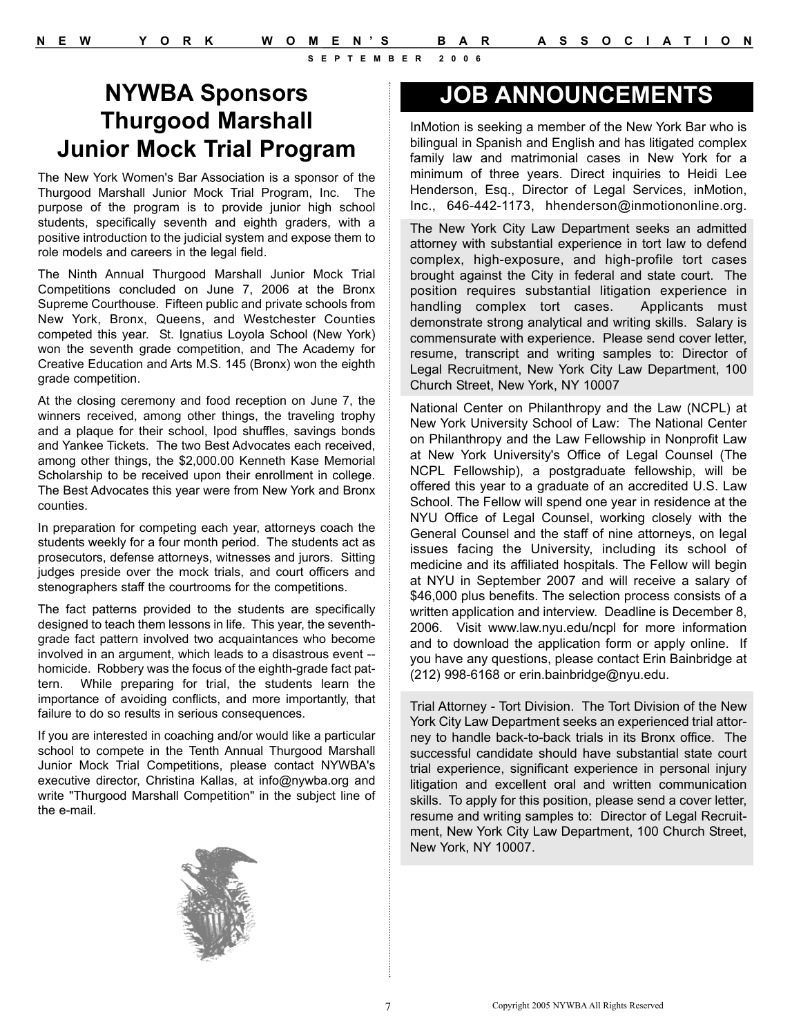# **NYWBA Sponsors Thurgood Marshall Junior Mock Trial Program**

The New York Women's Bar Association is a sponsor of the Thurgood Marshall Junior Mock Trial Program, Inc. The purpose of the program is to provide junior high school students, specifically seventh and eighth graders, with a positive introduction to the judicial system and expose them to role models and careers in the legal field.

The Ninth Annual Thurgood Marshall Junior Mock Trial Competitions concluded on June 7, 2006 at the Bronx Supreme Courthouse. Fifteen public and private schools from New York, Bronx, Queens, and Westchester Counties competed this year. St. Ignatius Loyola School (New York) won the seventh grade competition, and The Academy for Creative Education and Arts M.S. 145 (Bronx) won the eighth grade competition.

At the closing ceremony and food reception on June 7, the winners received, among other things, the traveling trophy and a plaque for their school, Ipod shuffles, savings bonds and Yankee Tickets. The two Best Advocates each received, among other things, the \$2,000.00 Kenneth Kase Memorial Scholarship to be received upon their enrollment in college. The Best Advocates this year were from New York and Bronx counties.

In preparation for competing each year, attorneys coach the students weekly for a four month period. The students act as prosecutors, defense attorneys, witnesses and jurors. Sitting judges preside over the mock trials, and court officers and stenographers staff the courtrooms for the competitions.

The fact patterns provided to the students are specifically designed to teach them lessons in life. This year, the seventhgrade fact pattern involved two acquaintances who become involved in an argument, which leads to a disastrous event - homicide. Robbery was the focus of the eighth-grade fact pattern. While preparing for trial, the students learn the importance of avoiding conflicts, and more importantly, that failure to do so results in serious consequences.

If you are interested in coaching and/or would like a particular school to compete in the Tenth Annual Thurgood Marshall Junior Mock Trial Competitions, please contact NYWBA's executive director, Christina Kallas, at info@nywba.org and write "Thurgood Marshall Competition" in the subject line of the e-mail.



InMotion is seeking a member of the New York Bar who is bilingual in Spanish and English and has litigated complex family law and matrimonial cases in New York for a minimum of three years. Direct inquiries to Heidi Lee Henderson, Esq., Director of Legal Services, inMotion, Inc., 646-442-1173, hhenderson@inmotiononline.org.

The New York City Law Department seeks an admitted attorney with substantial experience in tort law to defend complex, high-exposure, and high-profile tort cases brought against the City in federal and state court. The position requires substantial litigation experience in handling complex tort cases. Applicants must demonstrate strong analytical and writing skills. Salary is commensurate with experience. Please send cover letter, resume, transcript and writing samples to: Director of Legal Recruitment, New York City Law Department, 100 Church Street, New York, NY 10007

National Center on Philanthropy and the Law (NCPL) at New York University School of Law: The National Center on Philanthropy and the Law Fellowship in Nonprofit Law at New York University's Office of Legal Counsel (The NCPL Fellowship), a postgraduate fellowship, will be offered this year to a graduate of an accredited U.S. Law School. The Fellow will spend one year in residence at the NYU Office of Legal Counsel, working closely with the General Counsel and the staff of nine attorneys, on legal issues facing the University, including its school of medicine and its affiliated hospitals. The Fellow will begin at NYU in September 2007 and will receive a salary of \$46,000 plus benefits. The selection process consists of a written application and interview. Deadline is December 8, 2006. Visit www.law.nyu.edu/ncpl for more information and to download the application form or apply online. If you have any questions, please contact Erin Bainbridge at (212) 998-6168 or erin.bainbridge@nyu.edu.

Trial Attorney - Tort Division. The Tort Division of the New York City Law Department seeks an experienced trial attorney to handle back-to-back trials in its Bronx office. The successful candidate should have substantial state court trial experience, significant experience in personal injury litigation and excellent oral and written communication skills. To apply for this position, please send a cover letter, resume and writing samples to: Director of Legal Recruitment, New York City Law Department, 100 Church Street, New York, NY 10007.